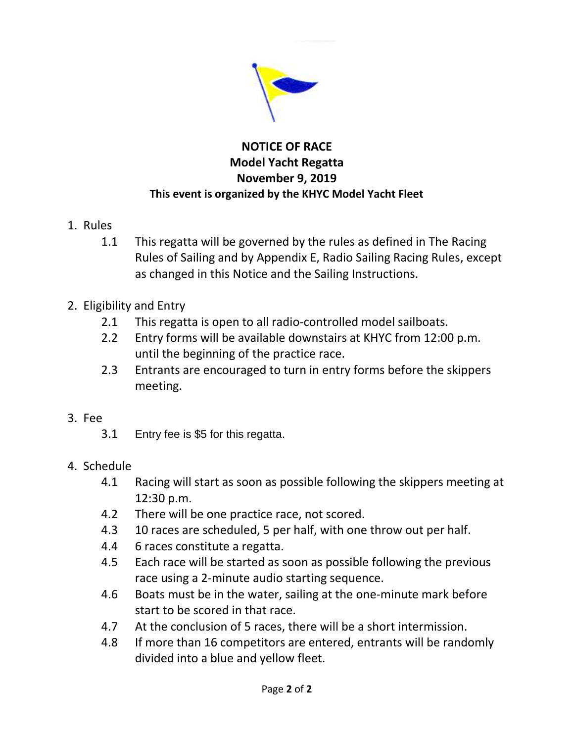

## **NOTICE OF RACE Model Yacht Regatta November 9, 2019 This event is organized by the KHYC Model Yacht Fleet**

- 1. Rules
	- 1.1 This regatta will be governed by the rules as defined in The Racing Rules of Sailing and by Appendix E, Radio Sailing Racing Rules, except as changed in this Notice and the Sailing Instructions.
- 2. Eligibility and Entry
	- 2.1 This regatta is open to all radio-controlled model sailboats.
	- 2.2 Entry forms will be available downstairs at KHYC from 12:00 p.m. until the beginning of the practice race.
	- 2.3 Entrants are encouraged to turn in entry forms before the skippers meeting.
- 3. Fee
	- 3.1 Entry fee is \$5 for this regatta.
- 4. Schedule
	- 4.1 Racing will start as soon as possible following the skippers meeting at 12:30 p.m.
	- 4.2 There will be one practice race, not scored.
	- 4.3 10 races are scheduled, 5 per half, with one throw out per half.
	- 4.4 6 races constitute a regatta.
	- 4.5 Each race will be started as soon as possible following the previous race using a 2-minute audio starting sequence.
	- 4.6 Boats must be in the water, sailing at the one-minute mark before start to be scored in that race.
	- 4.7 At the conclusion of 5 races, there will be a short intermission.
	- 4.8 If more than 16 competitors are entered, entrants will be randomly divided into a blue and yellow fleet.